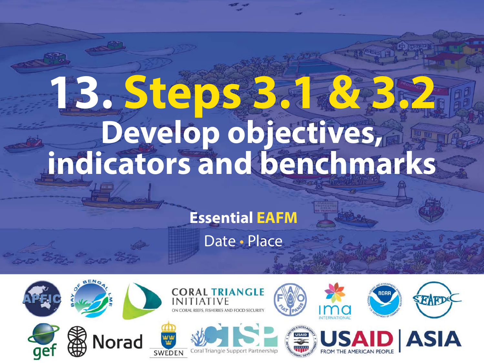# 13. Steps 3.2 av. **Develop objectives, indicators and benchmarks**

#### **Essential EAFM**

Date • Place

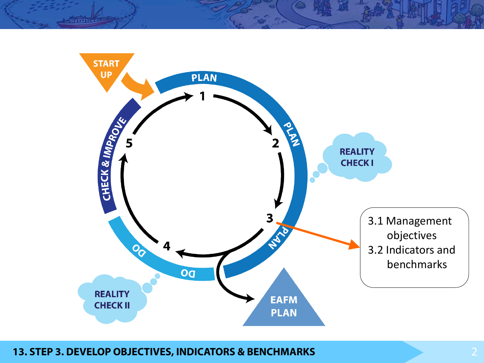

#### **13. STEP 3. DEVELOP OBJECTIVES, INDICATORS & BENCHMARKS** 2

 $L$ run $-$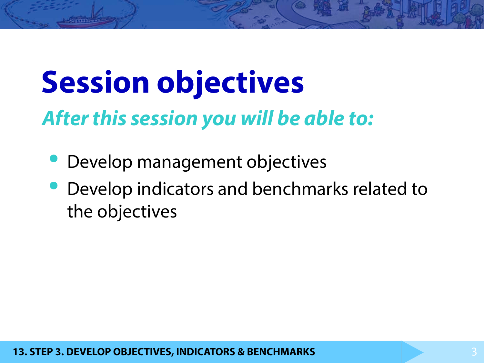# **Session objectives**

## *After this session you will be able to:*

- Develop management objectives
- Develop indicators and benchmarks related to the objectives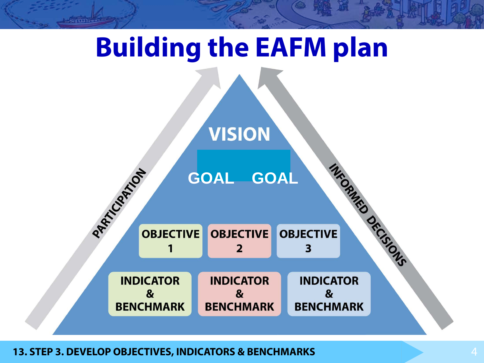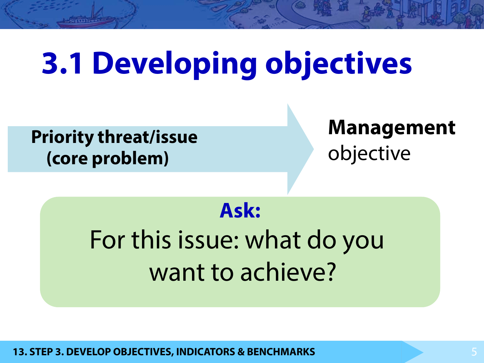# **3.1 Developing objectives**

**Priority threat/issue (core problem)** 

**Management** objective

## **Ask:**

## For this issue: what do you want to achieve?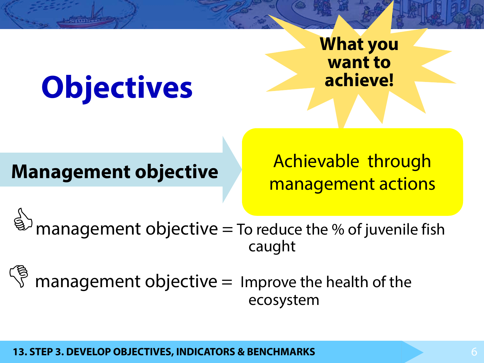# **Objectives**

## **What you want to achieve!**

## **Management objective**

Achievable through management actions

management objective  $=$  To reduce the % of juvenile fish caught

 $\mathbb{S}^3$  management objective = Improve the health of the ecosystem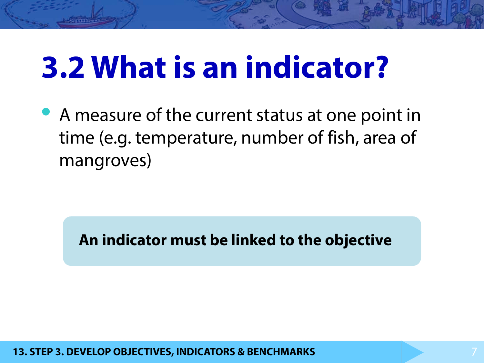# **3.2 What is an indicator?**

• A measure of the current status at one point in time (e.g. temperature, number of fish, area of mangroves)

**An indicator must be linked to the objective**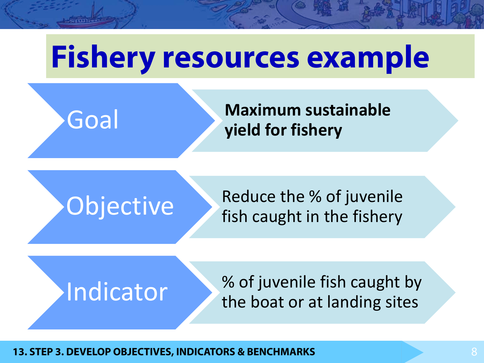# **Fishery resources example**

Goal **Maximum sustainable yield for fishery**

## Objective Reduce the % of juvenile fish caught in the fishery



Indicator % of juvenile fish caught by the boat or at landing sites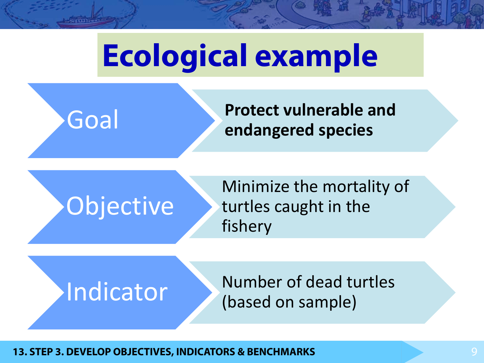# **Ecological example**

Goal **Protect vulnerable and endangered species**

# Objective

Minimize the mortality of turtles caught in the fishery



Indicator Number of dead turtles (based on sample)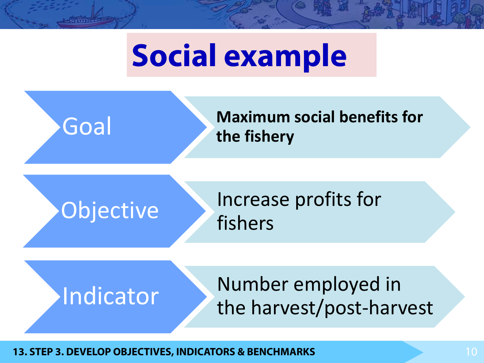# **Social example**

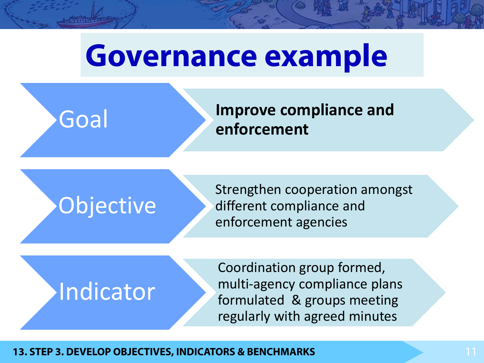# **Governance example**

Goal **Improve compliance and** 

**enforcement**

Strengthen cooperation amongst<br>
Objective different compliance and different compliance and enforcement agencies

# Indicator

Coordination group formed, multi-agency compliance plans formulated & groups meeting regularly with agreed minutes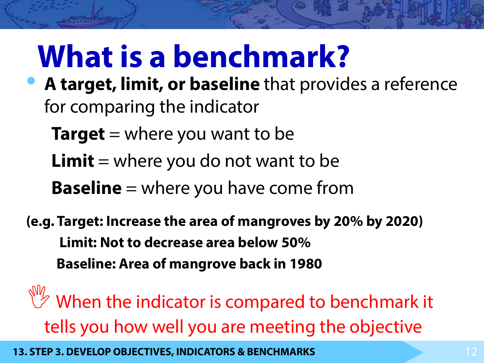# **What is a benchmark?**

- **A target, limit, or baseline** that provides a reference for comparing the indicator
	- **Target** = where you want to be
	- **Limit** = where you do not want to be
	- **Baseline** = where you have come from
- **(e.g. Target: Increase the area of mangroves by 20% by 2020) Limit: Not to decrease area below 50% Baseline: Area of mangrove back in 1980**
- $\mathbb{W}'$  When the indicator is compared to benchmark it tells you how well you are meeting the objective
- **13. STEP 3. DEVELOP OBJECTIVES, INDICATORS & BENCHMARKS** 12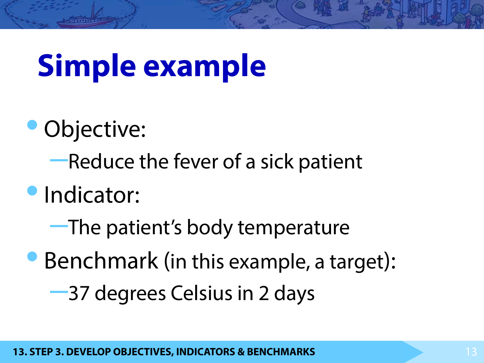# **Simple example**

- Objective:
	- –Reduce the fever of a sick patient
- •Indicator:
	- –The patient's body temperature
- Benchmark (in this example, a target): –37 degrees Celsius in 2 days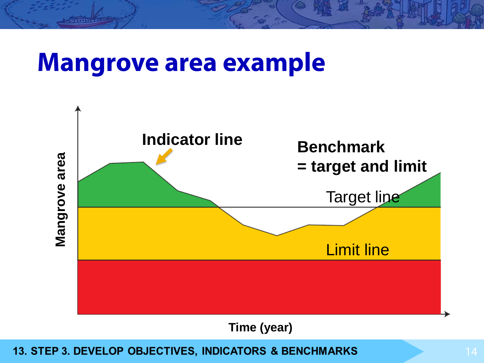## **Mangrove area example**



**Time (year)**

13. STEP 3. DEVELOP OBJECTIVES, INDICATORS & BENCHMARKS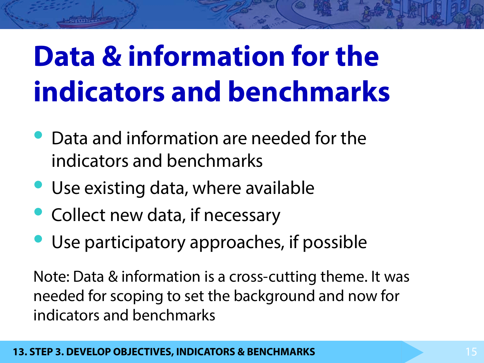# **Data & information for the indicators and benchmarks**

- Data and information are needed for the indicators and benchmarks
- Use existing data, where available
- Collect new data, if necessary
- Use participatory approaches, if possible

Note: Data & information is a cross-cutting theme. It was needed for scoping to set the background and now for indicators and benchmarks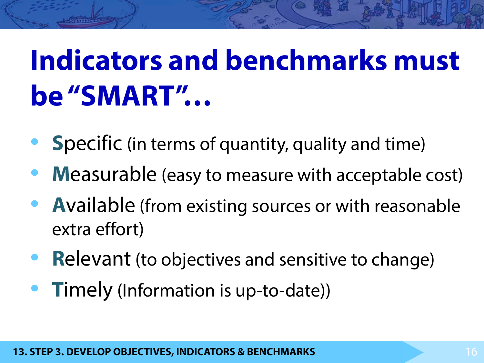# **Indicators and benchmarks must be "SMART"…**

- **Specific** (in terms of quantity, quality and time)
- **Measurable (easy to measure with acceptable cost)**
- **<sup>A</sup>**vailable (from existing sources or with reasonable extra effort)
- **Relevant** (to objectives and sensitive to change)
- **<sup>T</sup>**imely (Information is up-to-date))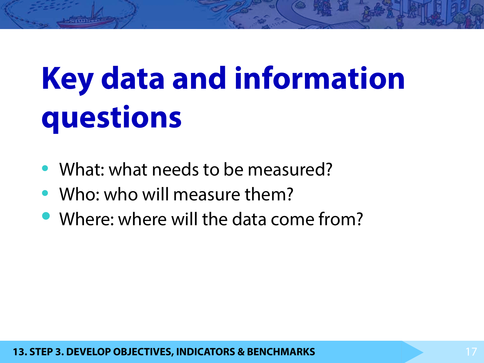# **Key data and information questions**

- What: what needs to be measured?
- Who: who will measure them?
- Where: where will the data come from?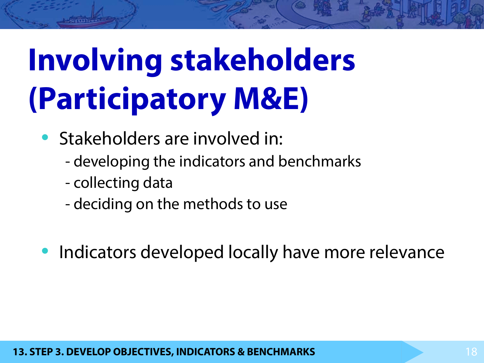# **Involving stakeholders (Participatory M&E)**

- Stakeholders are involved in:
	- developing the indicators and benchmarks
	- collecting data
	- deciding on the methods to use
- Indicators developed locally have more relevance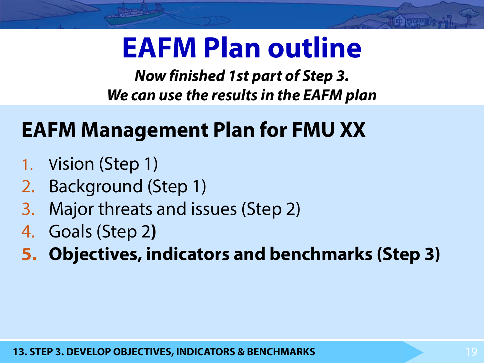## **EAFM Plan outline**

*Now finished 1st part of Step 3. We can use the results in the EAFM plan*

## **EAFM Management Plan for FMU XX**

- 1. Vision (Step 1)
- 2. Background (Step 1)
- 3. Major threats and issues (Step 2)
- 4. Goals (Step 2**)**
- **5. Objectives, indicators and benchmarks (Step 3)**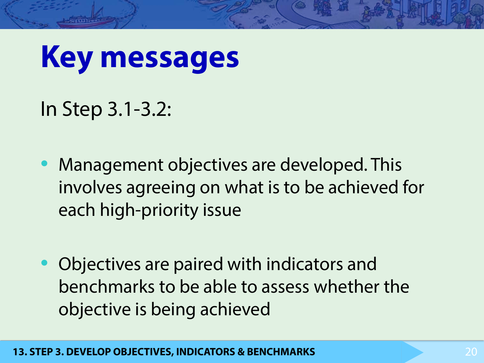# **Key messages**

In Step 3.1-3.2:

- Management objectives are developed. This involves agreeing on what is to be achieved for each high-priority issue
- Objectives are paired with indicators and benchmarks to be able to assess whether the objective is being achieved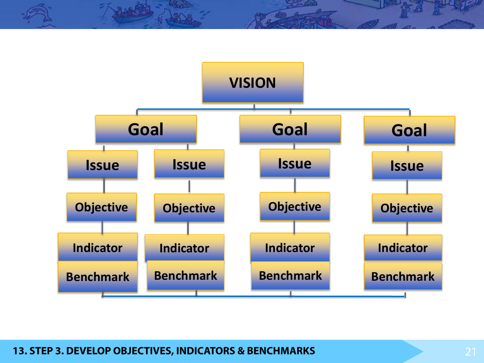